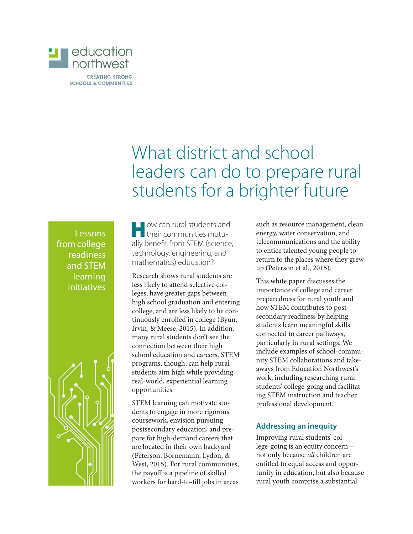

# What district and school leaders can do to prepare rural students for a brighter future

Lessons from college readiness and STEM learning initiatives



**How can rural students and<br>their communities mutu**ally benefit from STEM (science, technology, engineering, and mathematics) education?

Research shows rural students are less likely to attend selective colleges, have greater gaps between high school graduation and entering college, and are less likely to be continuously enrolled in college (Byun, Irvin, & Meese, 2015). In addition, many rural students don't see the connection between their high school education and careers. STEM programs, though, can help rural students aim high while providing real-world, experiential learning opportunities.

STEM learning can motivate students to engage in more rigorous coursework, envision pursuing postsecondary education, and prepare for high-demand careers that are located in their own backyard (Peterson, Bornemann, Lydon, & West, 2015). For rural communities, the payoff is a pipeline of skilled workers for hard-to-fill jobs in areas

such as resource management, clean energy, water conservation, and telecommunications and the ability to entice talented young people to return to the places where they grew up (Peterson et al., 2015).

This white paper discusses the importance of college and career preparedness for rural youth and how STEM contributes to postsecondary readiness by helping students learn meaningful skills connected to career pathways, particularly in rural settings. We include examples of school-community STEM collaborations and takeaways from Education Northwest's work, including researching rural students' college-going and facilitating STEM instruction and teacher professional development.

# **Addressing an inequity**

Improving rural students' college-going is an equity concern not only because *all* children are entitled to equal access and opportunity in education, but also because rural youth comprise a substantial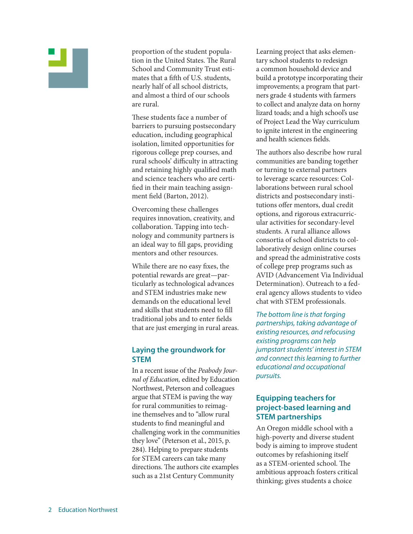proportion of the student population in the United States. The Rural School and Community Trust estimates that a fifth of U.S. students, nearly half of all school districts, and almost a third of our schools are rural.

These students face a number of barriers to pursuing postsecondary education, including geographical isolation, limited opportunities for rigorous college prep courses, and rural schools' difficulty in attracting and retaining highly qualified math and science teachers who are certified in their main teaching assignment field (Barton, 2012).

Overcoming these challenges requires innovation, creativity, and collaboration. Tapping into technology and community partners is an ideal way to fill gaps, providing mentors and other resources.

While there are no easy fixes, the potential rewards are great—particularly as technological advances and STEM industries make new demands on the educational level and skills that students need to fill traditional jobs and to enter fields that are just emerging in rural areas.

# **Laying the groundwork for STEM**

In a recent issue of the *Peabody Journal of Education,* edited by Education Northwest, Peterson and colleagues argue that STEM is paving the way for rural communities to reimagine themselves and to "allow rural students to find meaningful and challenging work in the communities they love" (Peterson et al., 2015, p. 284). Helping to prepare students for STEM careers can take many directions. The authors cite examples such as a 21st Century Community

Learning project that asks elementary school students to redesign a common household device and build a prototype incorporating their improvements; a program that partners grade 4 students with farmers to collect and analyze data on horny lizard toads; and a high school's use of Project Lead the Way curriculum to ignite interest in the engineering and health sciences fields.

The authors also describe how rural communities are banding together or turning to external partners to leverage scarce resources: Collaborations between rural school districts and postsecondary institutions offer mentors, dual credit options, and rigorous extracurricular activities for secondary-level students. A rural alliance allows consortia of school districts to collaboratively design online courses and spread the administrative costs of college prep programs such as AVID (Advancement Via Individual Determination). Outreach to a federal agency allows students to video chat with STEM professionals.

*The bottom line is that forging partnerships, taking advantage of existing resources, and refocusing existing programs can help jumpstart students' interest in STEM and connect this learning to further educational and occupational pursuits.* 

### **Equipping teachers for project-based learning and STEM partnerships**

An Oregon middle school with a high-poverty and diverse student body is aiming to improve student outcomes by refashioning itself as a STEM-oriented school. The ambitious approach fosters critical thinking; gives students a choice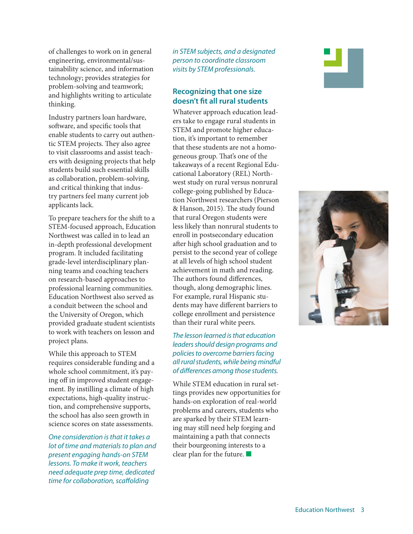of challenges to work on in general engineering, environmental/sustainability science, and information technology; provides strategies for problem-solving and teamwork; and highlights writing to articulate thinking.

Industry partners loan hardware, software, and specific tools that enable students to carry out authentic STEM projects. They also agree to visit classrooms and assist teachers with designing projects that help students build such essential skills as collaboration, problem-solving, and critical thinking that industry partners feel many current job applicants lack.

To prepare teachers for the shift to a STEM-focused approach, Education Northwest was called in to lead an in-depth professional development program. It included facilitating grade-level interdisciplinary planning teams and coaching teachers on research-based approaches to professional learning communities. Education Northwest also served as a conduit between the school and the University of Oregon, which provided graduate student scientists to work with teachers on lesson and project plans.

While this approach to STEM requires considerable funding and a whole school commitment, it's paying off in improved student engagement. By instilling a climate of high expectations, high-quality instruction, and comprehensive supports, the school has also seen growth in science scores on state assessments.

*One consideration is that it takes a lot of time and materials to plan and present engaging hands-on STEM lessons. To make it work, teachers need adequate prep time, dedicated time for collaboration, scaffolding* 

*in STEM subjects, and a designated person to coordinate classroom visits by STEM professionals.* 

# **Recognizing that one size doesn't fit all rural students**

Whatever approach education leaders take to engage rural students in STEM and promote higher education, it's important to remember that these students are not a homogeneous group. That's one of the takeaways of a recent Regional Educational Laboratory (REL) Northwest study on rural versus nonrural college-going published by Education Northwest researchers (Pierson & Hanson, 2015). The study found that rural Oregon students were less likely than nonrural students to enroll in postsecondary education after high school graduation and to persist to the second year of college at all levels of high school student achievement in math and reading. The authors found differences, though, along demographic lines. For example, rural Hispanic students may have different barriers to college enrollment and persistence than their rural white peers.

*The lesson learned is that education leaders should design programs and policies to overcome barriers facing all rural students, while being mindful of differences among those students.* 

While STEM education in rural settings provides new opportunities for hands-on exploration of real-world problems and careers, students who are sparked by their STEM learning may still need help forging and maintaining a path that connects their bourgeoning interests to a clear plan for the future.  $\blacksquare$